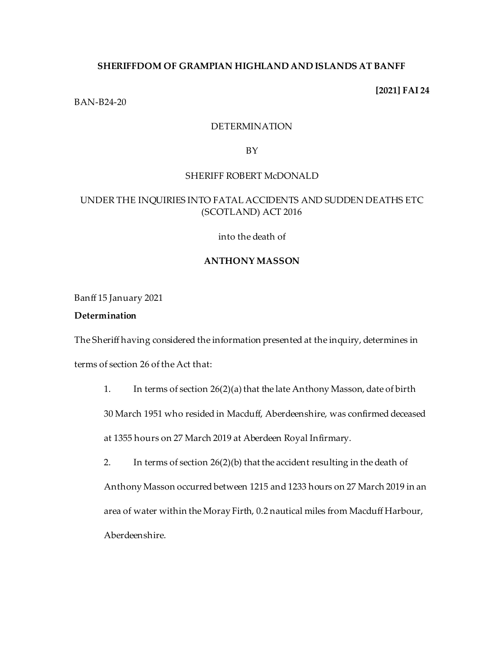## **SHERIFFDOM OF GRAMPIAN HIGHLAND AND ISLANDS AT BANFF**

**[2021] FAI 24**

BAN-B24-20

## DETERMINATION

BY

### SHERIFF ROBERT McDONALD

# UNDER THE INQUIRIES INTO FATAL ACCIDENTS AND SUDDEN DEATHS ETC (SCOTLAND) ACT 2016

into the death of

## **ANTHONY MASSON**

Banff 15 January 2021

## **Determination**

The Sheriff having considered the information presented at the inquiry, determines in terms of section 26 of the Act that:

- 1. In terms of section 26(2)(a) that the late Anthony Masson, date of birth 30 March 1951 who resided in Macduff, Aberdeenshire, was confirmed deceased at 1355 hours on 27 March 2019 at Aberdeen Royal Infirmary.
- 2. In terms of section 26(2)(b) that the accident resulting in the death of Anthony Masson occurred between 1215 and 1233 hours on 27 March 2019 in an area of water within the Moray Firth, 0.2 nautical miles from Macduff Harbour, Aberdeenshire.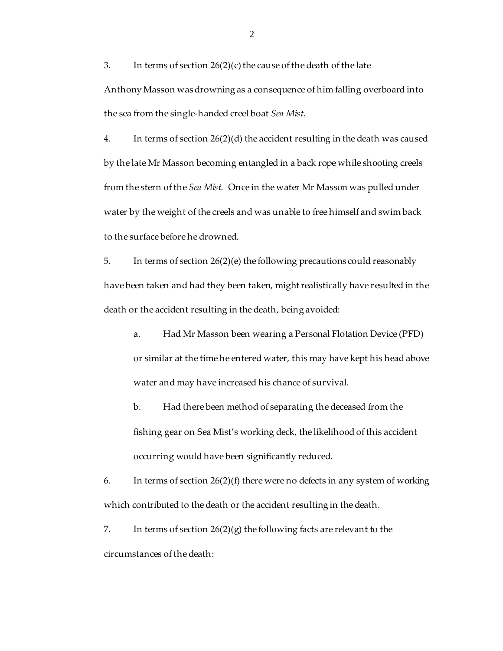3. In terms of section 26(2)(c) the cause of the death of the late Anthony Masson was drowning as a consequence of him falling overboard into the sea from the single-handed creel boat *Sea Mist*.

4. In terms of section 26(2)(d) the accident resulting in the death was caused by the late Mr Masson becoming entangled in a back rope while shooting creels from the stern of the *Sea Mist.* Once in the water Mr Masson was pulled under water by the weight of the creels and was unable to free himself and swim back to the surface before he drowned.

5. In terms of section 26(2)(e) the following precautions could reasonably have been taken and had they been taken, might realistically have resulted in the death or the accident resulting in the death, being avoided:

- a. Had Mr Masson been wearing a Personal Flotation Device (PFD) or similar at the time he entered water, this may have kept his head above water and may have increased his chance of survival.
- b. Had there been method of separating the deceased from the fishing gear on Sea Mist's working deck, the likelihood of this accident occurring would have been significantly reduced.

6. In terms of section  $26(2)(f)$  there were no defects in any system of working which contributed to the death or the accident resulting in the death.

7. In terms of section 26(2)(g) the following facts are relevant to the circumstances of the death: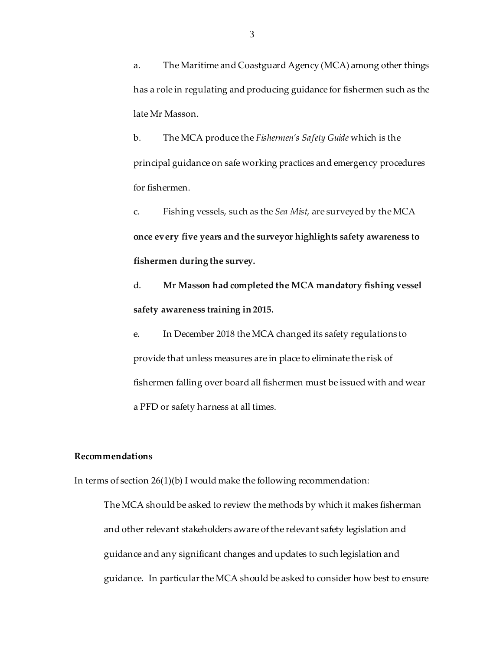a. The Maritime and Coastguard Agency (MCA) among other things has a role in regulating and producing guidance for fishermen such as the late Mr Masson.

b. The MCA produce the *Fishermen's Safety Guide* which is the principal guidance on safe working practices and emergency procedures for fishermen.

c. Fishing vessels, such as the *Sea Mist*, are surveyed by the MCA **once every five years and the surveyor highlights safety awareness to fishermen during the survey.**

d. **Mr Masson had completed the MCA mandatory fishing vessel safety awareness training in 2015.**

e. In December 2018 the MCA changed its safety regulations to provide that unless measures are in place to eliminate the risk of fishermen falling over board all fishermen must be issued with and wear a PFD or safety harness at all times.

## **Recommendations**

In terms of section 26(1)(b) I would make the following recommendation:

The MCA should be asked to review the methods by which it makes fisherman and other relevant stakeholders aware of the relevant safety legislation and guidance and any significant changes and updates to such legislation and guidance. In particular the MCA should be asked to consider how best to ensure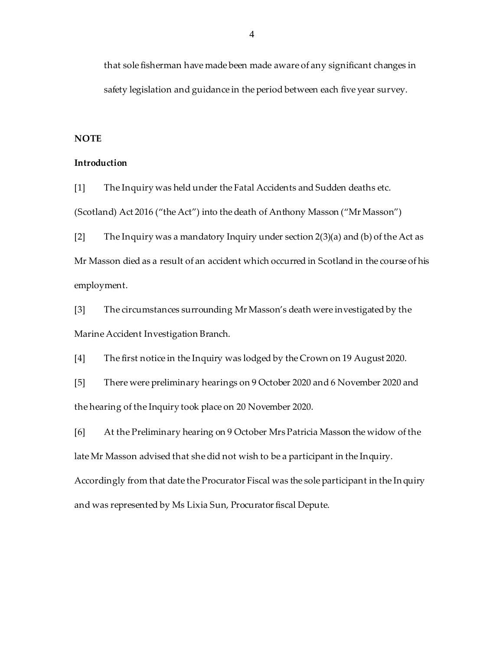that sole fisherman have made been made aware of any significant changes in safety legislation and guidance in the period between each five year survey.

## **NOTE**

#### **Introduction**

[1] The Inquiry was held under the Fatal Accidents and Sudden deaths etc. (Scotland) Act 2016 ("the Act") into the death of Anthony Masson ("Mr Masson")

[2] The Inquiry was a mandatory Inquiry under section  $2(3)(a)$  and (b) of the Act as Mr Masson died as a result of an accident which occurred in Scotland in the course of his employment.

[3] The circumstances surrounding Mr Masson's death were investigated by the Marine Accident Investigation Branch.

[4] The first notice in the Inquiry was lodged by the Crown on 19 August 2020.

[5] There were preliminary hearings on 9 October 2020 and 6 November 2020 and the hearing of the Inquiry took place on 20 November 2020.

[6] At the Preliminary hearing on 9 October Mrs Patricia Masson the widow of the late Mr Masson advised that she did not wish to be a participant in the Inquiry. Accordingly from that date the Procurator Fiscal was the sole participant in the Inquiry and was represented by Ms Lixia Sun, Procurator fiscal Depute.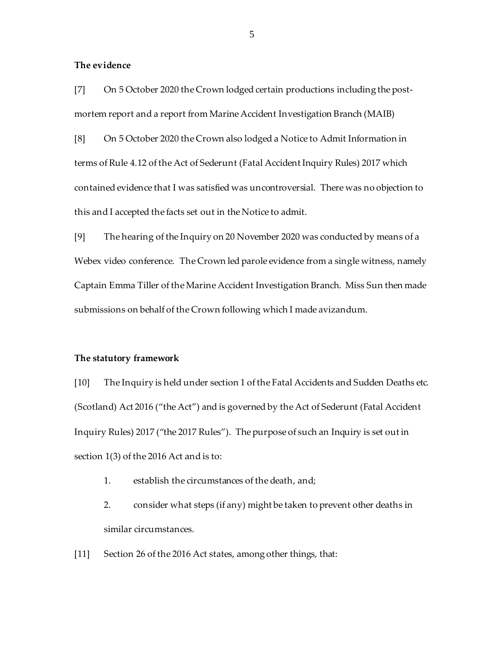## **The evidence**

[7] On 5 October 2020 the Crown lodged certain productions including the postmortem report and a report from Marine Accident Investigation Branch (MAIB)

[8] On 5 October 2020 the Crown also lodged a Notice to Admit Information in terms of Rule 4.12 of the Act of Sederunt (Fatal Accident Inquiry Rules) 2017 which contained evidence that I was satisfied was uncontroversial. There was no objection to this and I accepted the facts set out in the Notice to admit.

[9] The hearing of the Inquiry on 20 November 2020 was conducted by means of a Webex video conference. The Crown led parole evidence from a single witness, namely Captain Emma Tiller of the Marine Accident Investigation Branch. Miss Sun then made submissions on behalf of the Crown following which I made avizandum.

#### **The statutory framework**

[10] The Inquiry is held under section 1 of the Fatal Accidents and Sudden Deaths etc. (Scotland) Act 2016 ("the Act") and is governed by the Act of Sederunt (Fatal Accident Inquiry Rules) 2017 ("the 2017 Rules"). The purpose of such an Inquiry is set out in section 1(3) of the 2016 Act and is to:

- 1. establish the circumstances of the death, and;
- 2. consider what steps (if any) might be taken to prevent other deaths in similar circumstances.
- [11] Section 26 of the 2016 Act states, among other things, that: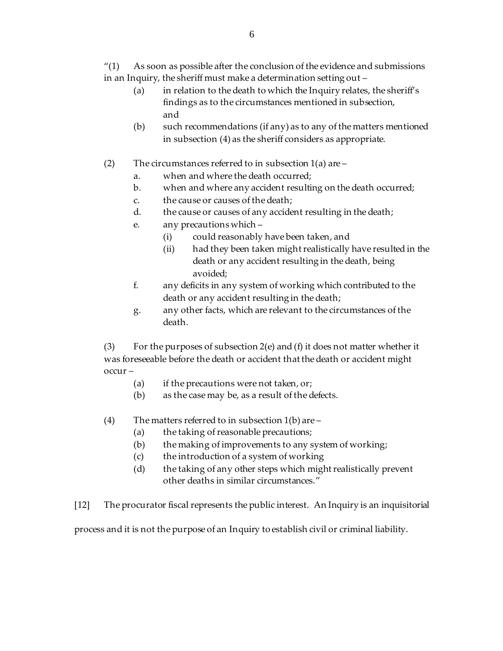"(1) As soon as possible after the conclusion of the evidence and submissions in an Inquiry, the sheriff must make a determination setting out –

- (a) in relation to the death to which the Inquiry relates, the sheriff's findings as to the circumstances mentioned in subsection, and
- (b) such recommendations (if any) as to any of the matters mentioned in subsection (4) as the sheriff considers as appropriate.
- (2) The circumstances referred to in subsection  $1(a)$  are
	- a. when and where the death occurred;
	- b. when and where any accident resulting on the death occurred;
	- c. the cause or causes of the death;
	- d. the cause or causes of any accident resulting in the death;
	- e. any precautions which
		- (i) could reasonably have been taken, and
		- (ii) had they been taken might realistically have resulted in the death or any accident resulting in the death, being avoided;
	- f. any deficits in any system of working which contributed to the death or any accident resulting in the death;
	- g. any other facts, which are relevant to the circumstances of the death.

(3) For the purposes of subsection 2(e) and (f) it does not matter whether it was foreseeable before the death or accident that the death or accident might occur –

- (a) if the precautions were not taken, or;
- (b) as the case may be, as a result of the defects.
- (4) The matters referred to in subsection 1(b) are
	- (a) the taking of reasonable precautions;
	- (b) the making of improvements to any system of working;
	- (c) the introduction of a system of working
	- (d) the taking of any other steps which might realistically prevent other deaths in similar circumstances."
- [12] The procurator fiscal represents the public interest. An Inquiry is an inquisitorial

process and it is not the purpose of an Inquiry to establish civil or criminal liability.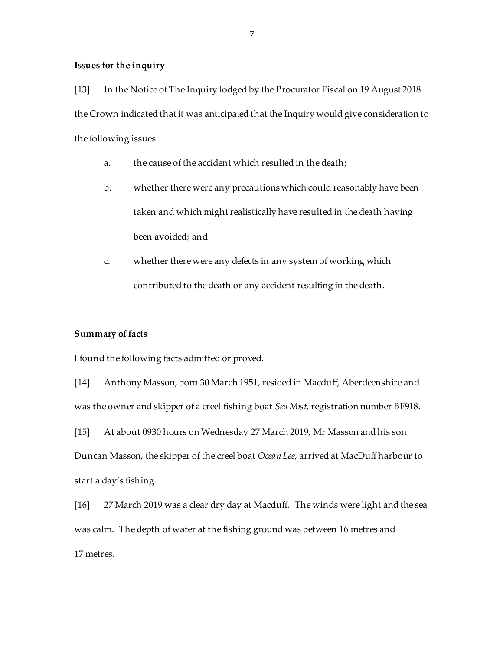### **Issues for the inquiry**

[13] In the Notice of The Inquiry lodged by the Procurator Fiscal on 19 August 2018 the Crown indicated that it was anticipated that the Inquiry would give consideration to the following issues:

- a. the cause of the accident which resulted in the death;
- b. whether there were any precautions which could reasonably have been taken and which might realistically have resulted in the death having been avoided; and
- c. whether there were any defects in any system of working which contributed to the death or any accident resulting in the death.

## **Summary of facts**

I found the following facts admitted or proved.

[14] Anthony Masson, born 30 March 1951, resided in Macduff, Aberdeenshire and was the owner and skipper of a creel fishing boat *Sea Mist*, registration number BF918.

[15] At about 0930 hours on Wednesday 27 March 2019, Mr Masson and his son Duncan Masson, the skipper of the creel boat *Ocean Lee*, arrived at MacDuff harbour to start a day's fishing.

[16] 27 March 2019 was a clear dry day at Macduff. The winds were light and the sea was calm. The depth of water at the fishing ground was between 16 metres and 17 metres.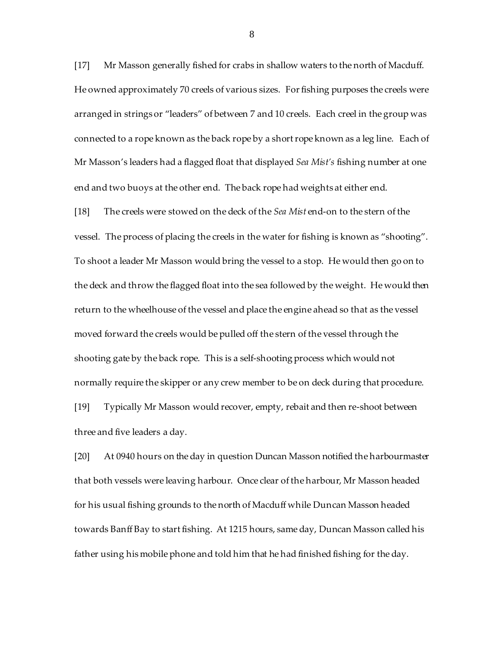[17] Mr Masson generally fished for crabs in shallow waters to the north of Macduff. He owned approximately 70 creels of various sizes. For fishing purposes the creels were arranged in strings or "leaders" of between 7 and 10 creels. Each creel in the group was connected to a rope known as the back rope by a short rope known as a leg line. Each of Mr Masson's leaders had a flagged float that displayed *Sea Mist's* fishing number at one end and two buoys at the other end. The back rope had weights at either end.

[18] The creels were stowed on the deck of the *Sea Mist* end-on to the stern of the vessel. The process of placing the creels in the water for fishing is known as "shooting". To shoot a leader Mr Masson would bring the vessel to a stop. He would then go on to the deck and throw the flagged float into the sea followed by the weight. He would then return to the wheelhouse of the vessel and place the engine ahead so that as the vessel moved forward the creels would be pulled off the stern of the vessel through the shooting gate by the back rope. This is a self-shooting process which would not normally require the skipper or any crew member to be on deck during that procedure. [19] Typically Mr Masson would recover, empty, rebait and then re-shoot between

three and five leaders a day.

[20] At 0940 hours on the day in question Duncan Masson notified the harbourmaster that both vessels were leaving harbour. Once clear of the harbour, Mr Masson headed for his usual fishing grounds to the north of Macduff while Duncan Masson headed towards Banff Bay to start fishing. At 1215 hours, same day, Duncan Masson called his father using his mobile phone and told him that he had finished fishing for the day.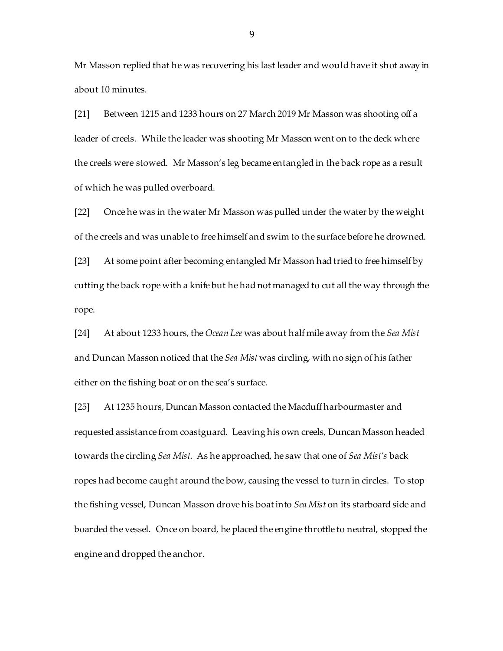Mr Masson replied that he was recovering his last leader and would have it shot away in about 10 minutes.

[21] Between 1215 and 1233 hours on 27 March 2019 Mr Masson was shooting off a leader of creels. While the leader was shooting Mr Masson went on to the deck where the creels were stowed. Mr Masson's leg became entangled in the back rope as a result of which he was pulled overboard.

[22] Once he was in the water Mr Masson was pulled under the water by the weight of the creels and was unable to free himself and swim to the surface before he drowned. [23] At some point after becoming entangled Mr Masson had tried to free himself by cutting the back rope with a knife but he had not managed to cut all the way through the rope.

[24] At about 1233 hours, the *Ocean Lee* was about half mile away from the *Sea Mist* and Duncan Masson noticed that the *Sea Mist* was circling, with no sign of his father either on the fishing boat or on the sea's surface.

[25] At 1235 hours, Duncan Masson contacted the Macduff harbourmaster and requested assistance from coastguard. Leaving his own creels, Duncan Masson headed towards the circling *Sea Mist*. As he approached, he saw that one of *Sea Mist's* back ropes had become caught around the bow, causing the vessel to turn in circles. To stop the fishing vessel, Duncan Masson drove his boat into *Sea Mist* on its starboard side and boarded the vessel. Once on board, he placed the engine throttle to neutral, stopped the engine and dropped the anchor.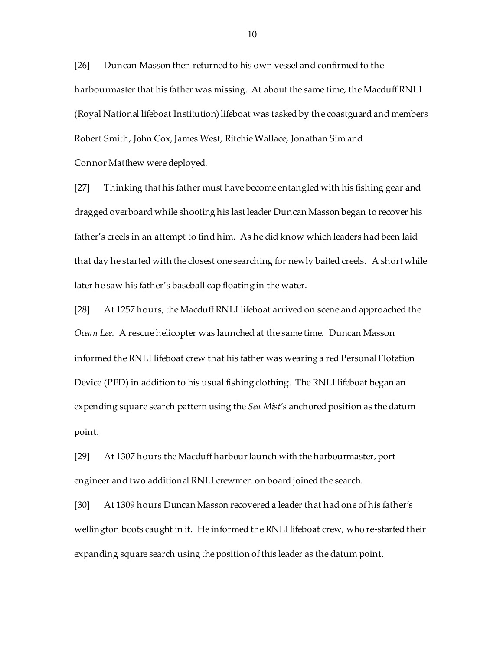[26] Duncan Masson then returned to his own vessel and confirmed to the harbourmaster that his father was missing. At about the same time, the Macduff RNLI (Royal National lifeboat Institution) lifeboat was tasked by the coastguard and members Robert Smith, John Cox, James West, Ritchie Wallace, Jonathan Sim and Connor Matthew were deployed.

[27] Thinking that his father must have become entangled with his fishing gear and dragged overboard while shooting his last leader Duncan Masson began to recover his father's creels in an attempt to find him. As he did know which leaders had been laid that day he started with the closest one searching for newly baited creels. A short while later he saw his father's baseball cap floating in the water.

[28] At 1257 hours, the Macduff RNLI lifeboat arrived on scene and approached the *Ocean Lee*. A rescue helicopter was launched at the same time. Duncan Masson informed the RNLI lifeboat crew that his father was wearing a red Personal Flotation Device (PFD) in addition to his usual fishing clothing. The RNLI lifeboat began an expending square search pattern using the *Sea Mist's* anchored position as the datum point.

[29] At 1307 hours the Macduff harbour launch with the harbourmaster, port engineer and two additional RNLI crewmen on board joined the search.

[30] At 1309 hours Duncan Masson recovered a leader that had one of his father's wellington boots caught in it. He informed the RNLI lifeboat crew, who re-started their expanding square search using the position of this leader as the datum point.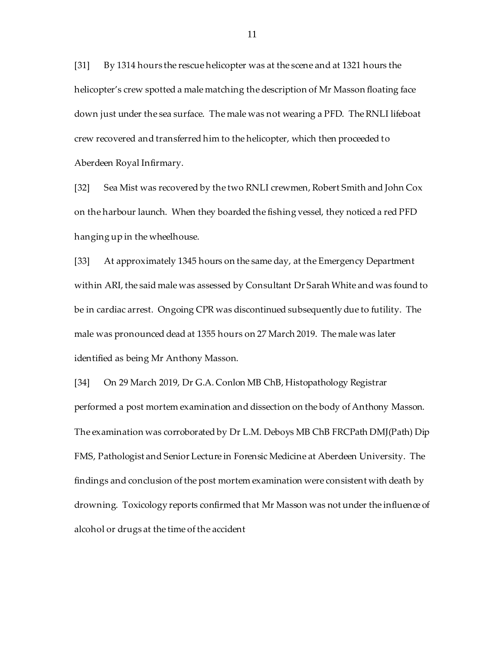[31] By 1314 hours the rescue helicopter was at the scene and at 1321 hours the helicopter's crew spotted a male matching the description of Mr Masson floating face down just under the sea surface. The male was not wearing a PFD. The RNLI lifeboat crew recovered and transferred him to the helicopter, which then proceeded to Aberdeen Royal Infirmary.

[32] Sea Mist was recovered by the two RNLI crewmen, Robert Smith and John Cox on the harbour launch. When they boarded the fishing vessel, they noticed a red PFD hanging up in the wheelhouse.

[33] At approximately 1345 hours on the same day, at the Emergency Department within ARI, the said male was assessed by Consultant Dr Sarah White and was found to be in cardiac arrest. Ongoing CPR was discontinued subsequently due to futility. The male was pronounced dead at 1355 hours on 27 March 2019. The male was later identified as being Mr Anthony Masson.

[34] On 29 March 2019, Dr G.A. Conlon MB ChB, Histopathology Registrar performed a post mortem examination and dissection on the body of Anthony Masson. The examination was corroborated by Dr L.M. Deboys MB ChB FRCPath DMJ(Path) Dip FMS, Pathologist and Senior Lecture in Forensic Medicine at Aberdeen University. The findings and conclusion of the post mortem examination were consistent with death by drowning. Toxicology reports confirmed that Mr Masson was not under the influence of alcohol or drugs at the time of the accident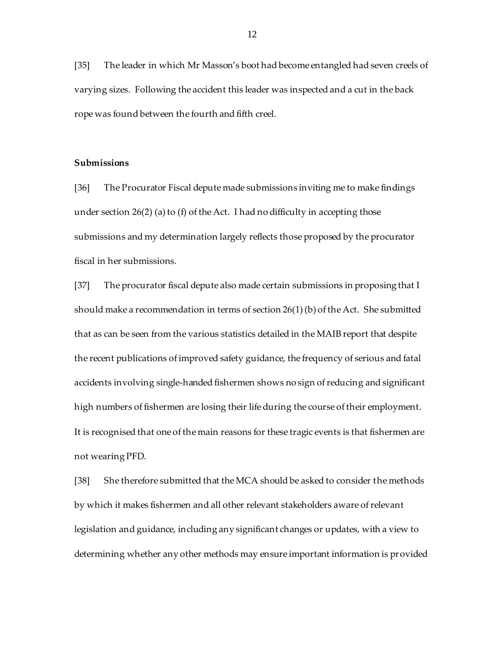[35] The leader in which Mr Masson's boot had become entangled had seven creels of varying sizes. Following the accident this leader was inspected and a cut in the back rope was found between the fourth and fifth creel.

## **Submissions**

[36] The Procurator Fiscal depute made submissions inviting me to make findings under section 26(2) (a) to (f) of the Act. I had no difficulty in accepting those submissions and my determination largely reflects those proposed by the procurator fiscal in her submissions.

[37] The procurator fiscal depute also made certain submissions in proposing that I should make a recommendation in terms of section 26(1) (b) of the Act. She submitted that as can be seen from the various statistics detailed in the MAIB report that despite the recent publications of improved safety guidance, the frequency of serious and fatal accidents involving single-handed fishermen shows no sign of reducing and significant high numbers of fishermen are losing their life during the course of their employment. It is recognised that one of the main reasons for these tragic events is that fishermen are not wearing PFD.

[38] She therefore submitted that the MCA should be asked to consider the methods by which it makes fishermen and all other relevant stakeholders aware of relevant legislation and guidance, including any significant changes or updates, with a view to determining whether any other methods may ensure important information is provided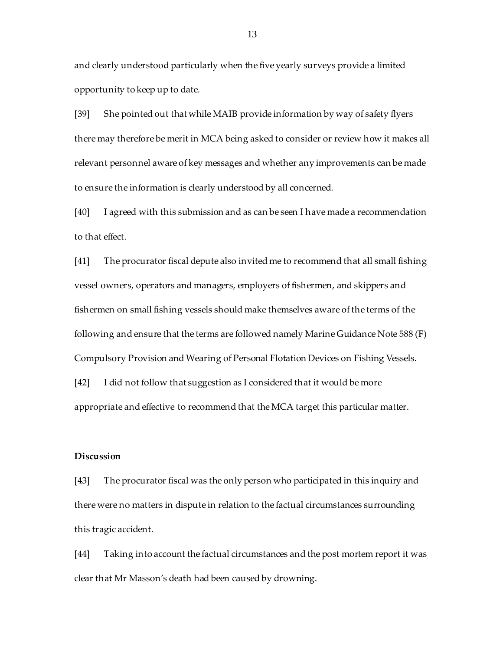and clearly understood particularly when the five yearly surveys provide a limited opportunity to keep up to date.

[39] She pointed out that while MAIB provide information by way of safety flyers there may therefore be merit in MCA being asked to consider or review how it makes all relevant personnel aware of key messages and whether any improvements can be made to ensure the information is clearly understood by all concerned.

[40] I agreed with this submission and as can be seen I have made a recommendation to that effect.

[41] The procurator fiscal depute also invited me to recommend that all small fishing vessel owners, operators and managers, employers of fishermen, and skippers and fishermen on small fishing vessels should make themselves aware of the terms of the following and ensure that the terms are followed namely Marine Guidance Note 588 (F) Compulsory Provision and Wearing of Personal Flotation Devices on Fishing Vessels.

[42] I did not follow that suggestion as I considered that it would be more appropriate and effective to recommend that the MCA target this particular matter.

## **Discussion**

[43] The procurator fiscal was the only person who participated in this inquiry and there were no matters in dispute in relation to the factual circumstances surrounding this tragic accident.

[44] Taking into account the factual circumstances and the post mortem report it was clear that Mr Masson's death had been caused by drowning.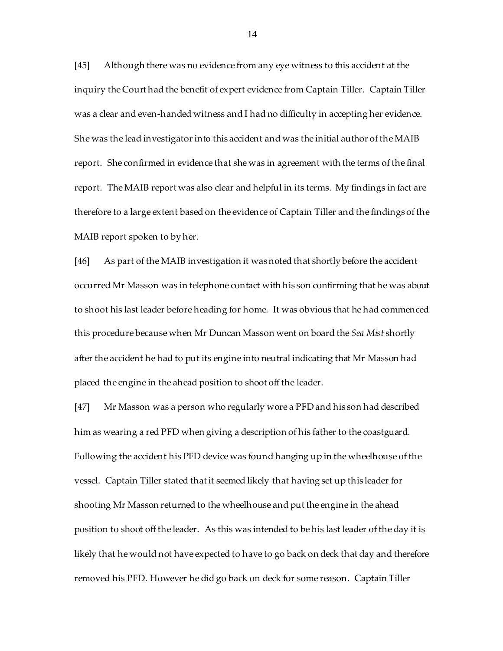[45] Although there was no evidence from any eye witness to this accident at the inquiry the Court had the benefit of expert evidence from Captain Tiller. Captain Tiller was a clear and even-handed witness and I had no difficulty in accepting her evidence. She was the lead investigator into this accident and was the initial author of the MAIB report. She confirmed in evidence that she was in agreement with the terms of the final report. The MAIB report was also clear and helpful in its terms. My findings in fact are therefore to a large extent based on the evidence of Captain Tiller and the findings of the MAIB report spoken to by her.

[46] As part of the MAIB investigation it was noted that shortly before the accident occurred Mr Masson was in telephone contact with his son confirming that he was about to shoot his last leader before heading for home. It was obvious that he had commenced this procedure because when Mr Duncan Masson went on board the *Sea Mist* shortly after the accident he had to put its engine into neutral indicating that Mr Masson had placed the engine in the ahead position to shoot off the leader.

[47] Mr Masson was a person who regularly wore a PFD and his son had described him as wearing a red PFD when giving a description of his father to the coastguard. Following the accident his PFD device was found hanging up in the wheelhouse of the vessel. Captain Tiller stated that it seemed likely that having set up this leader for shooting Mr Masson returned to the wheelhouse and put the engine in the ahead position to shoot off the leader. As this was intended to be his last leader of the day it is likely that he would not have expected to have to go back on deck that day and therefore removed his PFD. However he did go back on deck for some reason. Captain Tiller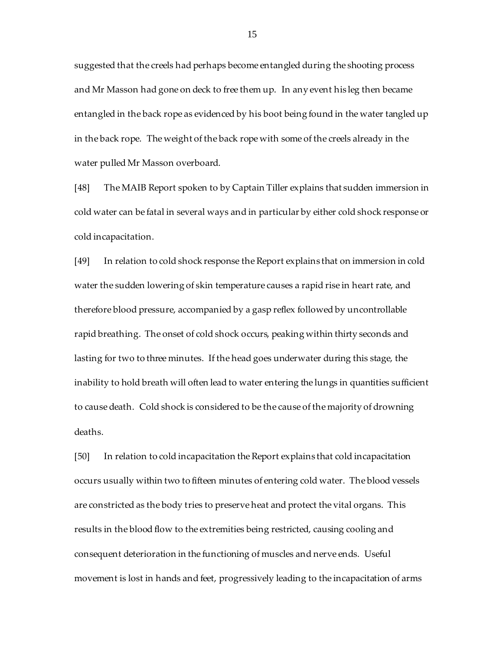suggested that the creels had perhaps become entangled during the shooting process and Mr Masson had gone on deck to free them up. In any event his leg then became entangled in the back rope as evidenced by his boot being found in the water tangled up in the back rope. The weight of the back rope with some of the creels already in the water pulled Mr Masson overboard.

[48] The MAIB Report spoken to by Captain Tiller explains that sudden immersion in cold water can be fatal in several ways and in particular by either cold shock response or cold incapacitation.

[49] In relation to cold shock response the Report explains that on immersion in cold water the sudden lowering of skin temperature causes a rapid rise in heart rate, and therefore blood pressure, accompanied by a gasp reflex followed by uncontrollable rapid breathing. The onset of cold shock occurs, peaking within thirty seconds and lasting for two to three minutes. If the head goes underwater during this stage, the inability to hold breath will often lead to water entering the lungs in quantities sufficient to cause death. Cold shock is considered to be the cause of the majority of drowning deaths.

[50] In relation to cold incapacitation the Report explains that cold incapacitation occurs usually within two to fifteen minutes of entering cold water. The blood vessels are constricted as the body tries to preserve heat and protect the vital organs. This results in the blood flow to the extremities being restricted, causing cooling and consequent deterioration in the functioning of muscles and nerve ends. Useful movement is lost in hands and feet, progressively leading to the incapacitation of arms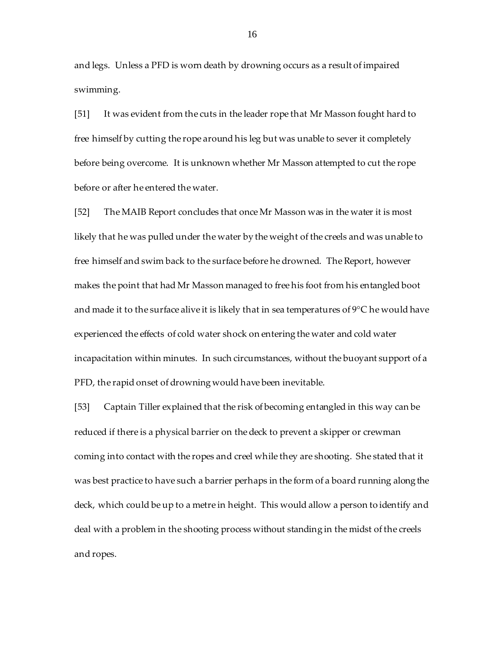and legs. Unless a PFD is worn death by drowning occurs as a result of impaired swimming.

[51] It was evident from the cuts in the leader rope that Mr Masson fought hard to free himself by cutting the rope around his leg but was unable to sever it completely before being overcome. It is unknown whether Mr Masson attempted to cut the rope before or after he entered the water.

[52] The MAIB Report concludes that once Mr Masson was in the water it is most likely that he was pulled under the water by the weight of the creels and was unable to free himself and swim back to the surface before he drowned. The Report, however makes the point that had Mr Masson managed to free his foot from his entangled boot and made it to the surface alive it is likely that in sea temperatures of 9°C he would have experienced the effects of cold water shock on entering the water and cold water incapacitation within minutes. In such circumstances, without the buoyant support of a PFD, the rapid onset of drowning would have been inevitable.

[53] Captain Tiller explained that the risk of becoming entangled in this way can be reduced if there is a physical barrier on the deck to prevent a skipper or crewman coming into contact with the ropes and creel while they are shooting. She stated that it was best practice to have such a barrier perhaps in the form of a board running along the deck, which could be up to a metre in height. This would allow a person to identify and deal with a problem in the shooting process without standing in the midst of the creels and ropes.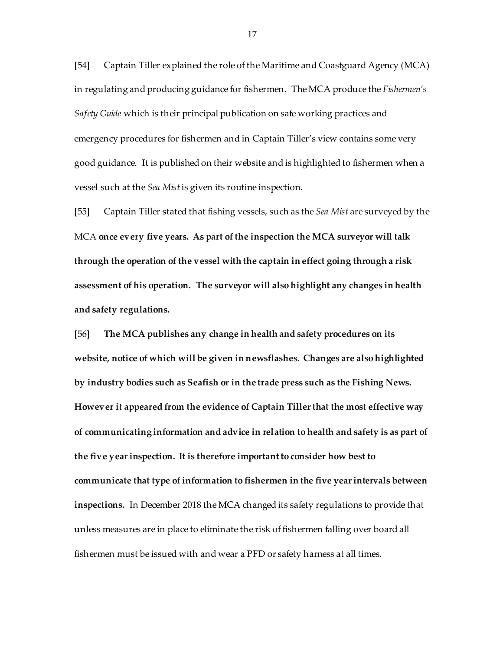[54] Captain Tiller explained the role of the Maritime and Coastguard Agency (MCA) in regulating and producing guidance for fishermen. The MCA produce the *Fishermen's Safety Guide* which is their principal publication on safe working practices and emergency procedures for fishermen and in Captain Tiller's view contains some very good guidance. It is published on their website and is highlighted to fishermen when a vessel such at the *Sea Mist* is given its routine inspection.

[55] Captain Tiller stated that fishing vessels, such as the *Sea Mist* are surveyed by the MCA **once every five years. As part of the inspection the MCA surveyor will talk through the operation of the vessel with the captain in effect going through a risk assessment of his operation. The surveyor will also highlight any changes in health and safety regulations.**

[56] **The MCA publishes any change in health and safety procedures on its website, notice of which will be given in newsflashes. Changes are also highlighted by industry bodies such as Seafish or in the trade press such as the Fishing News. However it appeared from the evidence of Captain Tillerthat the most effective way of communicating information and advice in relation to health and safety is as part of the five year inspection. It is therefore important to consider how best to communicate that type of information to fishermen in the five year intervals between inspections.** In December 2018 the MCA changed its safety regulations to provide that unless measures are in place to eliminate the risk of fishermen falling over board all fishermen must be issued with and wear a PFD or safety harness at all times.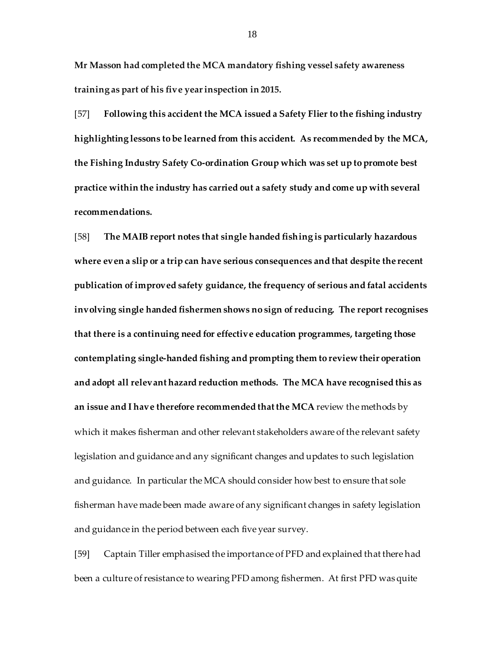**Mr Masson had completed the MCA mandatory fishing vessel safety awareness training as part of his five year inspection in 2015.**

[57] **Following this accident the MCA issued a Safety Flier to the fishing industry highlighting lessons to be learned from this accident. As recommended by the MCA, the Fishing Industry Safety Co-ordination Group which was set up to promote best practice within the industry has carried out a safety study and come up with several recommendations.**

[58] **The MAIB report notes that single handed fishing is particularly hazardous where even a slip or a trip can have serious consequences and that despite the recent publication of improved safety guidance, the frequency of serious and fatal accidents involving single handed fishermen shows no sign of reducing. The report recognises that there is a continuing need for effective education programmes, targeting those contemplating single-handed fishing and prompting them to review their operation and adopt all relevant hazard reduction methods. The MCA have recognised this as an issue and I have therefore recommended that the MCA** review the methods by which it makes fisherman and other relevant stakeholders aware of the relevant safety legislation and guidance and any significant changes and updates to such legislation and guidance. In particular the MCA should consider how best to ensure that sole fisherman have made been made aware of any significant changes in safety legislation and guidance in the period between each five year survey.

[59] Captain Tiller emphasised the importance of PFD and explained that there had been a culture of resistance to wearing PFD among fishermen. At first PFD was quite